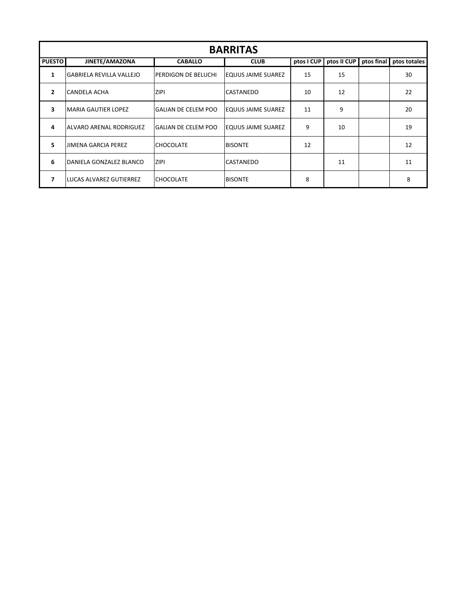| <b>BARRITAS</b> |                            |                            |                     |            |             |            |              |  |  |
|-----------------|----------------------------|----------------------------|---------------------|------------|-------------|------------|--------------|--|--|
| <b>PUESTO</b>   | JINETE/AMAZONA             | <b>CABALLO</b>             | <b>CLUB</b>         | ptos I CUP | ptos II CUP | ptos final | ptos totales |  |  |
| 1               | lGABRIELA REVILLA VALLEJO  | PERDIGON DE BELUCHI        | EQUUS JAIME SUAREZ  | 15         | 15          |            | 30           |  |  |
| $\overline{2}$  | CANDELA ACHA               | <b>ZIPI</b>                | <b>CASTANEDO</b>    | 10         | 12          |            | 22           |  |  |
| 3               | MARIA GAUTIER LOPEZ        | GALIAN DE CELEM POO        | EQUUS JAIME SUAREZ  | 11         | 9           |            | 20           |  |  |
| 4               | ALVARO ARENAL RODRIGUEZ    | <b>GALIAN DE CELEM POO</b> | IEQUUS JAIME SUAREZ | 9          | 10          |            | 19           |  |  |
| 5.              | <b>JIMENA GARCIA PEREZ</b> | <b>CHOCOLATE</b>           | <b>BISONTE</b>      | 12         |             |            | 12           |  |  |
| 6               | IDANIELA GONZALEZ BLANCO   | <b>ZIPI</b>                | <b>CASTANEDO</b>    |            | 11          |            | 11           |  |  |
| 7               | LUCAS ALVAREZ GUTIERREZ    | <b>CHOCOLATE</b>           | <b>BISONTE</b>      | 8          |             |            | 8            |  |  |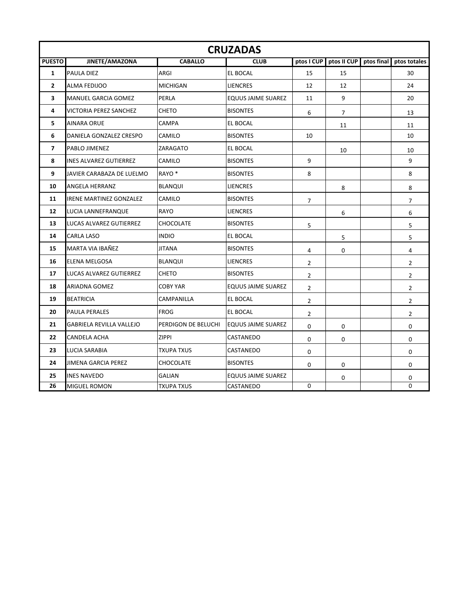|                | <b>CRUZADAS</b>                 |                     |                           |                |                |            |                |  |  |
|----------------|---------------------------------|---------------------|---------------------------|----------------|----------------|------------|----------------|--|--|
| <b>PUESTO</b>  | JINETE/AMAZONA                  | <b>CABALLO</b>      | <b>CLUB</b>               | ptos I CUP     | ptos II CUP    | ptos final | ptos totales   |  |  |
| $\mathbf{1}$   | <b>PAULA DIEZ</b>               | ARGI                | <b>EL BOCAL</b>           | 15             | 15             |            | 30             |  |  |
| $\overline{2}$ | ALMA FEDIJOO                    | <b>MICHIGAN</b>     | <b>LIENCRES</b>           | 12             | 12             |            | 24             |  |  |
| 3              | <b>MANUEL GARCIA GOMEZ</b>      | PERLA               | <b>EQUUS JAIME SUAREZ</b> | 11             | 9              |            | 20             |  |  |
| 4              | VICTORIA PEREZ SANCHEZ          | <b>CHETO</b>        | <b>BISONTES</b>           | 6              | $\overline{7}$ |            | 13             |  |  |
| 5              | AINARA ORUE                     | CAMPA               | <b>EL BOCAL</b>           |                | 11             |            | 11             |  |  |
| 6              | DANIELA GONZALEZ CRESPO         | CAMILO              | <b>BISONTES</b>           | 10             |                |            | 10             |  |  |
| $\overline{ }$ | PABLO JIMENEZ                   | ZARAGATO            | <b>EL BOCAL</b>           |                | 10             |            | 10             |  |  |
| 8              | INES ALVAREZ GUTIERREZ          | CAMILO              | <b>BISONTES</b>           | 9              |                |            | 9              |  |  |
| 9              | JAVIER CARABAZA DE LUELMO       | RAYO <sup>*</sup>   | <b>BISONTES</b>           | 8              |                |            | 8              |  |  |
| 10             | ANGELA HERRANZ                  | <b>BLANQUI</b>      | <b>LIENCRES</b>           |                | 8              |            | 8              |  |  |
| 11             | <b>IRENE MARTINEZ GONZALEZ</b>  | CAMILO              | <b>BISONTES</b>           | $\overline{7}$ |                |            | $\overline{7}$ |  |  |
| 12             | LUCIA LANNEFRANQUE              | RAYO                | <b>LIENCRES</b>           |                | 6              |            | 6              |  |  |
| 13             | LUCAS ALVAREZ GUTIERREZ         | <b>CHOCOLATE</b>    | <b>BISONTES</b>           | 5              |                |            | 5              |  |  |
| 14             | CARLA LASO                      | <b>INDIO</b>        | <b>EL BOCAL</b>           |                | 5              |            | 5              |  |  |
| 15             | MARTA VIA IBAÑEZ                | <b>JITANA</b>       | <b>BISONTES</b>           | 4              | 0              |            | 4              |  |  |
| 16             | <b>ELENA MELGOSA</b>            | <b>BLANQUI</b>      | <b>LIENCRES</b>           | 2              |                |            | $\overline{2}$ |  |  |
| 17             | LUCAS ALVAREZ GUTIERREZ         | <b>CHETO</b>        | <b>BISONTES</b>           | $\overline{2}$ |                |            | $\overline{2}$ |  |  |
| 18             | ARIADNA GOMEZ                   | <b>COBY YAR</b>     | EQUUS JAIME SUAREZ        | $\overline{2}$ |                |            | $\overline{2}$ |  |  |
| 19             | <b>BEATRICIA</b>                | CAMPANILLA          | <b>EL BOCAL</b>           | $\overline{2}$ |                |            | $\overline{2}$ |  |  |
| 20             | <b>PAULA PERALES</b>            | <b>FROG</b>         | EL BOCAL                  | $\overline{2}$ |                |            | $\overline{2}$ |  |  |
| 21             | <b>GABRIELA REVILLA VALLEJO</b> | PERDIGON DE BELUCHI | <b>EQUUS JAIME SUAREZ</b> | 0              | 0              |            | 0              |  |  |
| 22             | CANDELA ACHA                    | <b>ZIPPI</b>        | CASTANEDO                 | 0              | 0              |            | 0              |  |  |
| 23             | LUCIA SARABIA                   | <b>TXUPA TXUS</b>   | CASTANEDO                 | 0              |                |            | $\mathbf 0$    |  |  |
| 24             | JIMENA GARCIA PEREZ             | CHOCOLATE           | <b>BISONTES</b>           | 0              | 0              |            | 0              |  |  |
| 25             | <b>INES NAVEDO</b>              | <b>GALIAN</b>       | EQUUS JAIME SUAREZ        |                | 0              |            | 0              |  |  |
| 26             | MIGUEL ROMON                    | <b>TXUPA TXUS</b>   | CASTANEDO                 | 0              |                |            | 0              |  |  |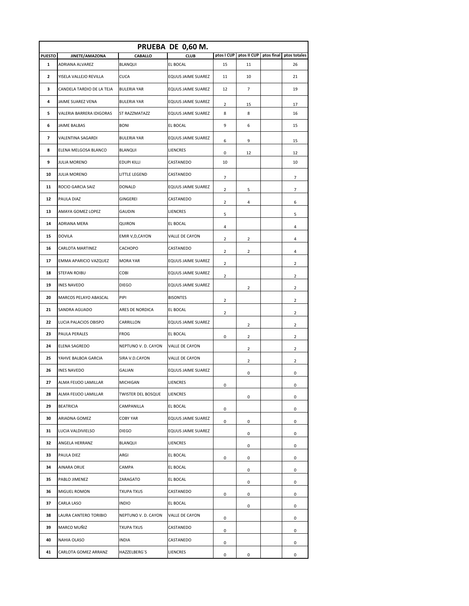|               |                           |                           | PRUEBA DE 0,60 M.         |                         |                |            |              |
|---------------|---------------------------|---------------------------|---------------------------|-------------------------|----------------|------------|--------------|
| <b>PUESTO</b> | JINETE/AMAZONA            | CABALLO                   | <b>CLUB</b>               | ptos I CUP              | ptos II CUP    | ptos final | ptos totales |
| 1             | ADRIANA ALVAREZ           | BLANQUI                   | EL BOCAL                  | 15                      | 11             |            | 26           |
| 2             | YISELA VALLEJO REVILLA    | <b>CUCA</b>               | EQUUS JAIME SUAREZ        | 11                      | 10             |            | 21           |
| з             | CANDELA TARDIO DE LA TEJA | <b>BULERIA YAR</b>        | <b>EQUUS JAIME SUAREZ</b> | 12                      | 7              |            | 19           |
| 4             | JAIME SUAREZ VENA         | <b>BULERIA YAR</b>        | EQUUS JAIME SUAREZ        | 2                       | 15             |            | 17           |
| 5             | VALERIA BARRERA IDIGORAS  | ST RAZZMATAZZ             | EQUUS JAIME SUAREZ        | 8                       | 8              |            | 16           |
| 6             | JAIME BALBAS              | <b>BONI</b>               | EL BOCAL                  | 9                       | 6              |            | 15           |
| 7             | VALENTINA SAGARDI         | <b>BULERIA YAR</b>        | EQUUS JAIME SUAREZ        | 6                       | 9              |            | 15           |
| 8             | ELENA MELGOSA BLANCO      | BLANQUI                   | LIENCRES                  | 0                       | 12             |            | 12           |
| 9             | JULIA MORENO              | <b>EDUPI KILLI</b>        | CASTANEDO                 | 10                      |                |            | 10           |
| 10            | JULIA MORENO              | LITTLE LEGEND             | CASTANEDO                 | 7                       |                |            | 7            |
| 11            | ROCIO GARCIA SAIZ         | <b>DONALD</b>             | EQUUS JAIME SUAREZ        | 2                       | 5              |            | 7            |
| 12            | PAULA DIAZ                | GINGEREI                  | CASTANEDO                 | $\overline{2}$          | 4              |            | 6            |
| 13            | AMAYA GOMEZ LOPEZ         | <b>GAUDIN</b>             | LIENCRES                  | 5                       |                |            | 5            |
| 14            | ADRIANA MERA              | QUIRON                    | <b>EL BOCAL</b>           | 4                       |                |            | 4            |
| 15            | <b>DOVILA</b>             | EMIR V, D, CAYON          | VALLE DE CAYON            | $\overline{2}$          | 2              |            | 4            |
| 16            | CARLOTA MARTINEZ          | CACHOPO                   | CASTANEDO                 | 2                       | $\overline{2}$ |            | 4            |
| 17            | EMMA APARICIO VAZQUEZ     | <b>MORA YAR</b>           | EQUUS JAIME SUAREZ        | 2                       |                |            | 2            |
| 18            | STEFAN ROIBU              | COBI                      | <b>EQUUS JAIME SUAREZ</b> | $\overline{\mathbf{c}}$ |                |            | 2            |
| 19            | <b>INES NAVEDO</b>        | <b>DIEGO</b>              | EQUUS JAIME SUAREZ        |                         | 2              |            | 2            |
| 20            | MARCOS PELAYO ABASCAL     | PIPI                      | <b>BISONTES</b>           | 2                       |                |            | 2            |
| 21            | SANDRA AGUADO             | ARES DE NORDICA           | <b>EL BOCAL</b>           | 2                       |                |            | 2            |
| 22            | LUCIA PALACIOS OBISPO     | CARRILLON                 | EQUUS JAIME SUAREZ        |                         | 2              |            | 2            |
| 23            | PAULA PERALES             | <b>FROG</b>               | <b>EL BOCAL</b>           | 0                       | $\overline{2}$ |            | 2            |
| 24            | ELENA SAGREDO             | NEPTUNO V. D. CAYON       | VALLE DE CAYON            |                         | 2              |            | 2            |
| 25            | YAHVE BALBOA GARCIA       | SIRA V.D.CAYON            | VALLE DE CAYON            |                         | 2              |            | 2            |
| 26            | INES NAVEDO               | GALIAN                    | EQUUS JAIME SUAREZ        |                         | 0              |            | 0            |
| 27            | ALMA FEIJOO LAMILLAR      | <b>MICHIGAN</b>           | LIENCRES                  | 0                       |                |            | 0            |
| 28            | ALMA FEIJOO LAMILLAR      | <b>TWISTER DEL BOSQUE</b> | LIENCRES                  |                         | 0              |            | 0            |
| 29            | BEATRICIA                 | CAMPANILLA                | EL BOCAL                  | 0                       |                |            | 0            |
| 30            | ARIADNA GOMEZ             | <b>COBY YAR</b>           | EQUUS JAIME SUAREZ        | 0                       | 0              |            | 0            |
| 31            | LUCIA VALDIVIELSO         | <b>DIEGO</b>              | EQUUS JAIME SUAREZ        |                         | 0              |            | 0            |
| 32            | ANGELA HERRANZ            | BLANQUI                   | LIENCRES                  |                         | 0              |            | 0            |
| 33            | PAULA DIEZ                | ARGI                      | EL BOCAL                  | 0                       | 0              |            | 0            |
| 34            | AINARA ORUE               | CAMPA                     | <b>EL BOCAL</b>           |                         | 0              |            | 0            |
| 35            | PABLO JIMENEZ             | ZARAGATO                  | <b>EL BOCAL</b>           |                         | 0              |            | 0            |
| 36            | MIGUEL ROMON              | <b>TXUPA TXUS</b>         | CASTANEDO                 | 0                       | 0              |            | 0            |
| 37            | CARLA LASO                | <b>INDIO</b>              | EL BOCAL                  |                         | 0              |            | 0            |
| 38            | LAURA CANTERO TORIBIO     | NEPTUNO V. D. CAYON       | VALLE DE CAYON            | 0                       |                |            | 0            |
| 39            | MARCO MUÑIZ               | <b>TXUPA TXUS</b>         | CASTANEDO                 | 0                       |                |            | 0            |
| 40            | NAHIA OLASO               | INDIA                     | CASTANEDO                 | 0                       |                |            | 0            |
| 41            | CARLOTA GOMEZ ARRANZ      | HAZZELBERG'S              | LIENCRES                  | 0                       | 0              |            | 0            |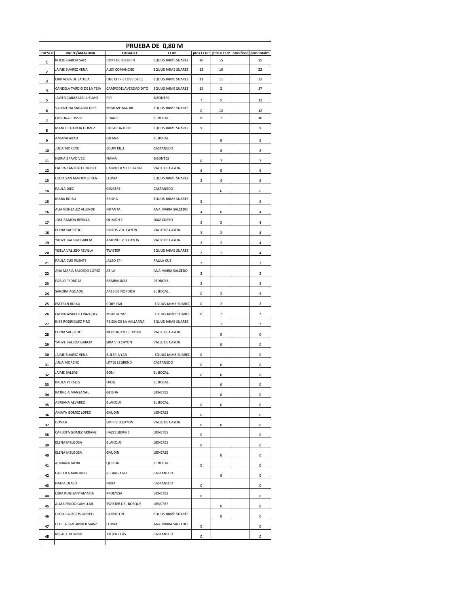|               | PRUEBA DE 0,80 M                                 |                            |                                   |                  |                              |  |                         |  |  |
|---------------|--------------------------------------------------|----------------------------|-----------------------------------|------------------|------------------------------|--|-------------------------|--|--|
| <b>PUESTO</b> | JINETE/AMAZONA<br>ROCIO GARCIA SAIZ              | CABALLO<br>DORY DE BELUCHI | <b>CLUB</b><br>EQUUS JAIME SUAREZ | ptos I CUP<br>10 | ptos II CUP ptos final<br>15 |  | ptos totales<br>25      |  |  |
| 1             | JAIME SUAREZ VENA                                | ALEX COMANCHE              | EQUUS JAIME SUAREZ                | 12               | 10                           |  | 22                      |  |  |
| 2             | ERIK VEGA DE LA TEJA                             | UNE CHIPIE LOVE DE CE      | EQUUS JAIME SUAREZ                | 11               | 11                           |  | 22                      |  |  |
| 3             | CANDELA TARDIO DE LA TEJA                        | CAMPODELAVERDAD DITO       | EQUUS JAIME SUAREZ                | 15               | 2                            |  | 17                      |  |  |
| 4             | JAVIER CARABAZA LUELMO                           | PIPI                       | <b>BISONTES</b>                   |                  |                              |  |                         |  |  |
| 5             | VALENTINA SAGARDI DIEZ                           | MIMI ME MALIBU             | EQUUS JAIME SUAREZ                | $\overline{7}$   | 5                            |  | 12                      |  |  |
| 6             | CRISTINA COSSIO                                  | CHANEL                     | EL BOCAL                          | 0<br>8           | 12<br>$\overline{2}$         |  | 12<br>10                |  |  |
| 7             | MANUEL GARCIA GOMEZ                              | DIEGO DA JULIE             | EQUUS JAIME SUAREZ                | 9                |                              |  | 9                       |  |  |
| 8             | ANJANA ABAD                                      | GITANA                     | EL BOCAL                          |                  |                              |  |                         |  |  |
| 9             | <b>JULIA MORENO</b>                              | EDUPI KILLI                | CASTANEDO                         |                  | 9                            |  | 9                       |  |  |
| 10            | NURIA BRAVO VECI                                 | <b>FIAMA</b>               | <b>BISONTES</b>                   |                  | 8                            |  | 8                       |  |  |
| 11            |                                                  |                            |                                   | 0                | 7                            |  | 7                       |  |  |
| 12            | LAURA CANTERO TORIBIO                            | CABRIOLA V.D. CAYON        | VALLE DE CAYON                    | 6                | 0                            |  | 6                       |  |  |
| 13            | LUCIA SAN MARTIN SETIEN                          | LLUVIA                     | EQUUS JAIME SUAREZ                | $\overline{2}$   | 4                            |  | 6                       |  |  |
| 14            | PAULA DIEZ                                       | GINGEREI                   | CASTANEDO                         |                  | 6                            |  | 6                       |  |  |
| 15            | <b>MARA ROIBU</b>                                | REISHA                     | EQUUS JAIME SUAREZ                | 5                |                              |  | 5                       |  |  |
| 16            | ALIA GONZALEZ ALLENDE                            | <b>INFANTA</b>             | ANA MARIA SALCEDO                 | 4                | 0                            |  | 4                       |  |  |
| 17            | JOSE RAMON REVILLA                               | OLIMON <sub>Z</sub>        | <b>DIAZ CUERO</b>                 | $\mathbf 2$      | $\overline{\mathbf{2}}$      |  | 4                       |  |  |
| 18            | <b>ELENA SAGREDO</b>                             | HORUS V.D. CAYON           | VALLE DE CAYON                    | $\overline{2}$   | $\overline{\mathbf{2}}$      |  | 4                       |  |  |
| 19            | YAHVE BALBOA GARCIA                              | AMONET V.D.CAYON           | VALLE DE CAYON                    | $\overline{2}$   | $\overline{\mathbf{2}}$      |  | 4                       |  |  |
| 20            | YISELA VALLEJO REVILLA                           | TWISTER                    | EQUUS JAIME SUAREZ                | 2                | 2                            |  | 4                       |  |  |
| 21            | PAULA CUE PUENTE                                 | JALEO ZP                   | PAULA CUE                         | $\mathbf 2$      |                              |  | $\overline{\mathbf{2}}$ |  |  |
| 22            | ANA MARIA SALCEDO LOPEZ                          | ATILA                      | ANA MARIA SALCEDO                 | 2                |                              |  | 2                       |  |  |
| 23            | PABLO PEDROSA                                    | BAMBALINAS                 | PEDROSA                           | 2                |                              |  | 2                       |  |  |
| 24            | SANDRA AGUADO                                    | ARES DE NORDICA            | EL BOCAL                          | 0                | 2                            |  | $\overline{2}$          |  |  |
| 25            | ESTEFAN ROIBU                                    | <b>COBY YAR</b>            | EQUUS JAIME SUAREZ                | 0                | 2                            |  | 2                       |  |  |
| 26            | EMMA APARICIO VAZQUEZ                            | MORITA YAR                 | EQUUS JAIME SUAREZ                | 0                | $\overline{\mathbf{2}}$      |  | $\overline{2}$          |  |  |
| 27            | INES RODRIGUEZ PIRO                              | REISSA DE LA VALLARNA      | EQUUS JAIME SUAREZ                |                  | 2                            |  | $\overline{2}$          |  |  |
| 28            | ELENA SAGREDO                                    | NEPTUNO V.D.CAYON          | VALLE DE CAYON                    |                  | 0                            |  | 0                       |  |  |
| 29            | YAHVE BALBOA GARCIA                              | SIRA V.D.CAYON             | VALLE DE CAYON                    |                  | 0                            |  | 0                       |  |  |
| 30            | JAIME SUAREZ VENA                                | BULERIA YAR                | EQUUS JAIME SUAREZ                | 0                |                              |  | 0                       |  |  |
| 31            | <b>JULIA MORENO</b>                              | LITTLE LEGREND             | CASTANEDO                         | 0                | 0                            |  | 0                       |  |  |
| 32            | <b>JAIME BALBAS</b>                              | <b>BONI</b>                | EL BOCAL                          | 0                | 0                            |  | 0                       |  |  |
|               | PAULA PERALES                                    | FROG                       | EL BOCAL                          |                  |                              |  |                         |  |  |
| 33            | PATRICIA MANZANAL                                | GEISHA                     | LIENCRES                          |                  | 0                            |  | 0                       |  |  |
| 34            | ADRIANA ALVAREZ                                  | BLANQUI                    | EL BOCAL                          |                  | 0                            |  | 0                       |  |  |
| 35            | AMAYA GOMEZ LOPEZ                                | GAUDIN                     | LIENCRES                          | 0                | 0                            |  | 0                       |  |  |
| 36<br>37      | DOVILA                                           | EMIR V.D.CAYON             | VALLE DE CAYON                    | 0<br>0           |                              |  | 0<br>0                  |  |  |
| 38            | CARLOTA GOMEZ ARRANZ                             | HAZZELBERG'S               | LIENCRES                          | 0                | 0                            |  | 0                       |  |  |
|               | ELENA MELGOSA                                    | BLANQUI                    | LIENCRES                          |                  |                              |  |                         |  |  |
| 39            | ELENA MELGOSA                                    | GAUDIN                     | LIENCRES                          | 0                |                              |  | 0                       |  |  |
| 40            | ADRIANA MERA                                     | QUIRON                     | EL BOCAL                          |                  | 0                            |  | 0                       |  |  |
| 41            | CARLOTA MARTINEZ                                 | RELAMPAGO                  | CASTANEDO                         | 0                |                              |  | 0                       |  |  |
| 42            | NAHIA OLASO                                      | INDIA                      | CASTANEDO                         |                  | 0                            |  | 0                       |  |  |
| 43            | LIDIA RUIZ SANTAMARIA                            | PROMESA                    | LIENCRES                          | 0                |                              |  | 0                       |  |  |
| 44            | ALMA FEIJOO LAMILLAR                             | TWISTER DEL BOSQUE         | LIENCRES                          | 0                |                              |  | 0                       |  |  |
| 45            |                                                  | CARRILLON                  |                                   |                  | 0                            |  | 0                       |  |  |
| 46            | LUCIA PALACIOS OBISPO<br>LETICIA SANTANDER SAINZ |                            | EQUUS JAIME SUAREZ                |                  | 0                            |  | 0                       |  |  |
| 47            |                                                  | LLUVIA                     | ANA MARIA SALCEDO                 | 0                |                              |  | 0                       |  |  |
| 48            | MIGUEL ROMON                                     | <b>TXUPA TXUS</b>          | CASTANEDO                         | 0                |                              |  | 0                       |  |  |
|               |                                                  |                            |                                   |                  |                              |  |                         |  |  |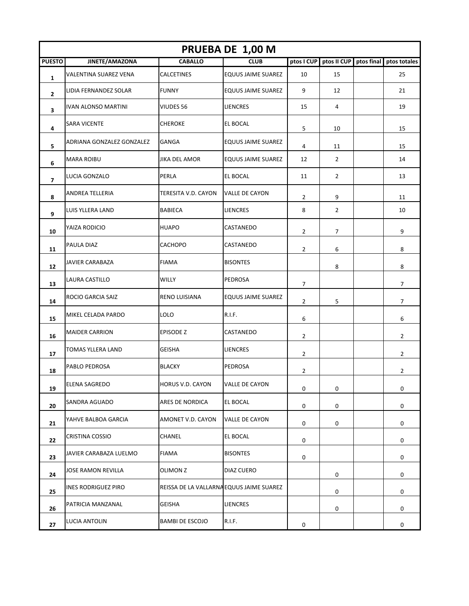| PRUEBA DE 1,00 M |                            |                                          |                           |                |                        |            |                |  |
|------------------|----------------------------|------------------------------------------|---------------------------|----------------|------------------------|------------|----------------|--|
| <b>PUESTO</b>    | JINETE/AMAZONA             | <b>CABALLO</b>                           | <b>CLUB</b>               |                | ptos I CUP ptos II CUP | ptos final | ptos totales   |  |
| 1                | VALENTINA SUAREZ VENA      | CALCETINES                               | EQUUS JAIME SUAREZ        | 10             | 15                     |            | 25             |  |
| 2                | LIDIA FERNANDEZ SOLAR      | <b>FUNNY</b>                             | EQUUS JAIME SUAREZ        | 9              | 12                     |            | 21             |  |
| 3                | IVAN ALONSO MARTINI        | VIUDES 56                                | LIENCRES                  | 15             | 4                      |            | 19             |  |
| 4                | <b>SARA VICENTE</b>        | <b>CHEROKE</b>                           | EL BOCAL                  | 5              | 10                     |            | 15             |  |
| 5                | ADRIANA GONZALEZ GONZALEZ  | GANGA                                    | <b>EQUUS JAIME SUAREZ</b> | 4              | 11                     |            | 15             |  |
| 6                | <b>MARA ROIBU</b>          | JIKA DEL AMOR                            | <b>EQUUS JAIME SUAREZ</b> | 12             | $\overline{2}$         |            | 14             |  |
| 7                | LUCIA GONZALO              | PERLA                                    | EL BOCAL                  | 11             | 2                      |            | 13             |  |
| 8                | ANDREA TELLERIA            | TERESITA V.D. CAYON                      | VALLE DE CAYON            | $\overline{2}$ | 9                      |            | 11             |  |
| 9                | LUIS YLLERA LAND           | <b>BABIECA</b>                           | LIENCRES                  | 8              | $\overline{2}$         |            | 10             |  |
| 10               | YAIZA RODICIO              | <b>HUAPO</b>                             | CASTANEDO                 | 2              | 7                      |            | 9              |  |
| 11               | PAULA DIAZ                 | <b>CACHOPO</b>                           | CASTANEDO                 | 2              | 6                      |            | 8              |  |
| 12               | <b>JAVIER CARABAZA</b>     | <b>FIAMA</b>                             | <b>BISONTES</b>           |                | 8                      |            | 8              |  |
| 13               | LAURA CASTILLO             | WILLY                                    | PEDROSA                   | 7              |                        |            | 7              |  |
| 14               | ROCIO GARCIA SAIZ          | RENO LUISIANA                            | EQUUS JAIME SUAREZ        | $\overline{2}$ | 5                      |            | $\overline{7}$ |  |
| 15               | MIKEL CELADA PARDO         | <b>LOLO</b>                              | R.I.F.                    | 6              |                        |            | 6              |  |
| 16               | <b>MAIDER CARRION</b>      | <b>EPISODE Z</b>                         | CASTANEDO                 | $\overline{2}$ |                        |            | $\overline{2}$ |  |
| 17               | TOMAS YLLERA LAND          | <b>GEISHA</b>                            | LIENCRES                  | $\overline{2}$ |                        |            | $\overline{2}$ |  |
| 18               | PABLO PEDROSA              | <b>BLACKY</b>                            | PEDROSA                   | $\overline{2}$ |                        |            | $\overline{2}$ |  |
| 19               | ELENA SAGREDO              | HORUS V.D. CAYON                         | <b>VALLE DE CAYON</b>     | 0              | 0                      |            | 0              |  |
| 20               | SANDRA AGUADO              | ARES DE NORDICA                          | EL BOCAL                  | 0              | 0                      |            | 0              |  |
| 21               | YAHVE BALBOA GARCIA        | AMONET V.D. CAYON                        | VALLE DE CAYON            | 0              | 0                      |            | 0              |  |
| 22               | CRISTINA COSSIO            | CHANEL                                   | EL BOCAL                  | 0              |                        |            | 0              |  |
| 23               | JAVIER CARABAZA LUELMO     | <b>FIAMA</b>                             | <b>BISONTES</b>           | 0              |                        |            | 0              |  |
| 24               | JOSE RAMON REVILLA         | <b>OLIMON Z</b>                          | DIAZ CUERO                |                | 0                      |            | 0              |  |
| 25               | <b>INES RODRIGUEZ PIRO</b> | REISSA DE LA VALLARNA EQUUS JAIME SUAREZ |                           |                | 0                      |            | 0              |  |
| 26               | PATRICIA MANZANAL          | <b>GEISHA</b>                            | <b>LIENCRES</b>           |                | 0                      |            | 0              |  |
| 27               | LUCIA ANTOLIN              | <b>BAMBI DE ESCOJO</b>                   | R.I.F.                    | 0              |                        |            | 0              |  |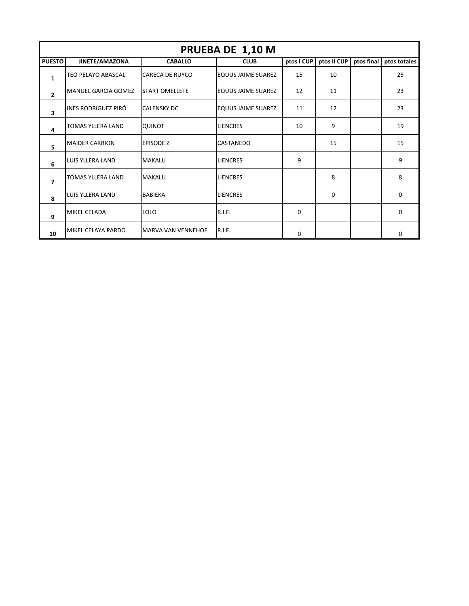| PRUEBA DE 1,10 M        |                            |                        |                           |             |             |            |              |  |  |  |
|-------------------------|----------------------------|------------------------|---------------------------|-------------|-------------|------------|--------------|--|--|--|
| <b>PUESTO</b>           | JINETE/AMAZONA             | <b>CABALLO</b>         | <b>CLUB</b>               | ptos I CUP  | ptos II CUP | ptos final | ptos totales |  |  |  |
| $\mathbf{1}$            | TEO PELAYO ABASCAL         | <b>CARECA DE RUYCO</b> | <b>EQUUS JAIME SUAREZ</b> | 15          | 10          |            | 25           |  |  |  |
| $\overline{2}$          | <b>MANUEL GARCIA GOMEZ</b> | <b>START OMELLETE</b>  | <b>EQUUS JAIME SUAREZ</b> | 12          | 11          |            | 23           |  |  |  |
| $\overline{\mathbf{3}}$ | INES RODRIGUEZ PIRÓ        | <b>CALENSKY DC</b>     | IEQUUS JAIME SUAREZ       | 11          | 12          |            | 23           |  |  |  |
| 4                       | <b>TOMAS YLLERA LAND</b>   | <b>QUINOT</b>          | <b>LIENCRES</b>           | 10          | 9           |            | 19           |  |  |  |
| 5                       | <b>MAIDER CARRION</b>      | <b>EPISODE Z</b>       | <b>CASTANEDO</b>          |             | 15          |            | 15           |  |  |  |
| 6                       | LUIS YLLERA LAND           | <b>MAKALU</b>          | <b>LIENCRES</b>           | 9           |             |            | 9            |  |  |  |
| $\overline{7}$          | <b>TOMAS YLLERA LAND</b>   | <b>MAKALU</b>          | <b>LIENCRES</b>           |             | 8           |            | 8            |  |  |  |
| 8                       | LUIS YLLERA LAND           | <b>BABIEKA</b>         | <b>LIENCRES</b>           |             | $\Omega$    |            | $\Omega$     |  |  |  |
| 9                       | MIKEL CELADA               | <b>LOLO</b>            | R.I.F.                    | 0           |             |            | 0            |  |  |  |
| 10                      | MIKEL CELAYA PARDO         | MARVA VAN VENNEHOF     | R.I.F.                    | $\mathbf 0$ |             |            | 0            |  |  |  |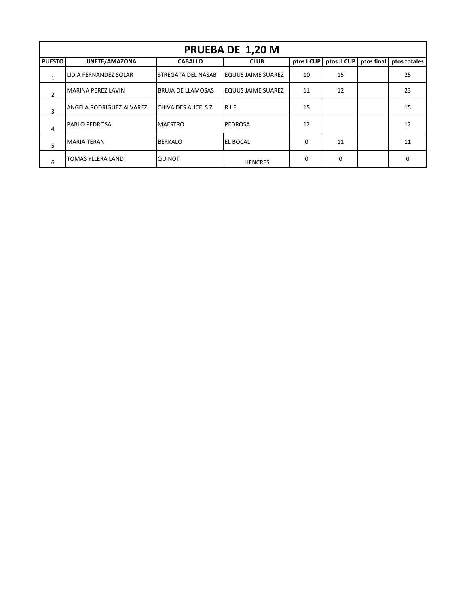| PRUEBA DE 1,20 M |                          |                           |                           |            |             |            |              |  |  |  |
|------------------|--------------------------|---------------------------|---------------------------|------------|-------------|------------|--------------|--|--|--|
| <b>PUESTO</b>    | JINETE/AMAZONA           | <b>CABALLO</b>            | <b>CLUB</b>               | ptos I CUP | ptos II CUP | ptos final | ptos totales |  |  |  |
| $\mathbf{1}$     | LIDIA FERNANDEZ SOLAR    | ISTREGATA DEL NASAB       | <b>EQUUS JAIME SUAREZ</b> | 10         | 15          |            | 25           |  |  |  |
| $\overline{2}$   | MARINA PEREZ LAVIN       | IBRUJA DE LLAMOSAS        | <b>EQUUS JAIME SUAREZ</b> | 11         | 12          |            | 23           |  |  |  |
| 3                | ANGELA RODRIGUEZ ALVAREZ | <b>CHIVA DES AUCELS Z</b> | R.I.F.                    | 15         |             |            | 15           |  |  |  |
| 4                | <b>PABLO PEDROSA</b>     | <b>MAESTRO</b>            | <b>PEDROSA</b>            | 12         |             |            | 12           |  |  |  |
| 5                | <b>MARIA TERAN</b>       | <b>BERKALO</b>            | <b>EL BOCAL</b>           | 0          | 11          |            | 11           |  |  |  |
| 6                | TOMAS YLLERA LAND        | <b>QUINOT</b>             | <b>LIENCRES</b>           | 0          | 0           |            | O            |  |  |  |